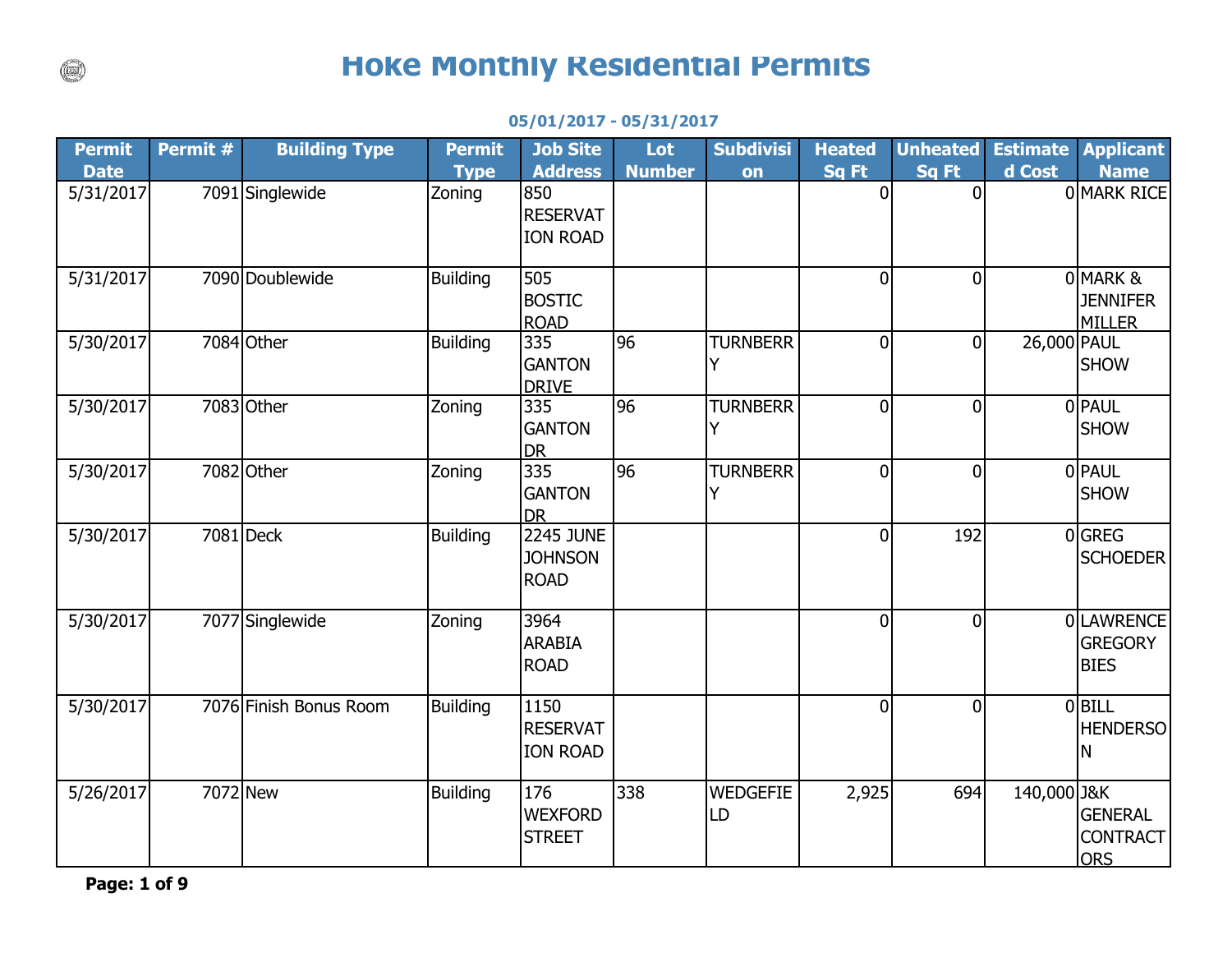## **Hoke Monthly Residential Permits**

## **05/01/2017 - 05/31/2017**

| Permit      | Permit # | <b>Building Type</b>   | <b>Permit</b>   | <b>Job Site</b>                                   | Lot           | <b>Subdivisi</b>      | <b>Heated</b>  | <b>Unheated</b> | <b>Estimate</b> | <b>Applicant</b>                                |
|-------------|----------|------------------------|-----------------|---------------------------------------------------|---------------|-----------------------|----------------|-----------------|-----------------|-------------------------------------------------|
| <b>Date</b> |          |                        | <b>Type</b>     | <b>Address</b>                                    | <b>Number</b> | on                    | Sq Ft          | Sq Ft           | d Cost          | <b>Name</b>                                     |
| 5/31/2017   |          | 7091 Singlewide        | Zoning          | 850<br><b>RESERVAT</b><br><b>ION ROAD</b>         |               |                       | $\overline{0}$ | $\overline{0}$  |                 | 0 MARK RICE                                     |
| 5/31/2017   |          | 7090 Doublewide        | <b>Building</b> | 505<br><b>BOSTIC</b><br><b>ROAD</b>               |               |                       | $\overline{0}$ | $\overline{0}$  |                 | 0 MARK &<br><b>JENNIFER</b><br><b>MILLER</b>    |
| 5/30/2017   |          | 7084 Other             | <b>Building</b> | 335<br><b>GANTON</b><br><b>DRIVE</b>              | 96            | <b>TURNBERR</b><br>Y  | $\Omega$       | $\overline{0}$  | 26,000 PAUL     | <b>SHOW</b>                                     |
| 5/30/2017   |          | 7083 Other             | Zoning          | 335<br><b>GANTON</b><br><b>DR</b>                 | 96            | <b>TURNBERR</b><br>Y  | $\Omega$       | $\overline{0}$  |                 | 0 PAUL<br><b>SHOW</b>                           |
| 5/30/2017   |          | 7082 Other             | Zoning          | 335<br><b>GANTON</b><br><b>DR</b>                 | 96            | <b>TURNBERR</b><br>Y  | 0              | $\overline{0}$  |                 | 0 PAUL<br><b>SHOW</b>                           |
| 5/30/2017   |          | 7081 Deck              | <b>Building</b> | <b>2245 JUNE</b><br><b>JOHNSON</b><br><b>ROAD</b> |               |                       | 0              | 192             |                 | 0 GREG<br><b>SCHOEDER</b>                       |
| 5/30/2017   |          | 7077 Singlewide        | Zoning          | 3964<br><b>ARABIA</b><br><b>ROAD</b>              |               |                       | $\Omega$       | $\overline{0}$  |                 | 0 LAWRENCE<br><b>GREGORY</b><br><b>BIES</b>     |
| 5/30/2017   |          | 7076 Finish Bonus Room | <b>Building</b> | 1150<br><b>RESERVAT</b><br><b>ION ROAD</b>        |               |                       | $\overline{0}$ | $\overline{0}$  |                 | $0$ BILL<br><b>HENDERSO</b><br>Ν                |
| 5/26/2017   |          | 7072 New               | <b>Building</b> | 176<br><b>WEXFORD</b><br><b>STREET</b>            | 338           | <b>WEDGEFIE</b><br>LD | 2,925          | 694             | 140,000 J&K     | <b>GENERAL</b><br><b>CONTRACT</b><br><b>ORS</b> |

**Page: 1 of 9**

 $\binom{1}{k}$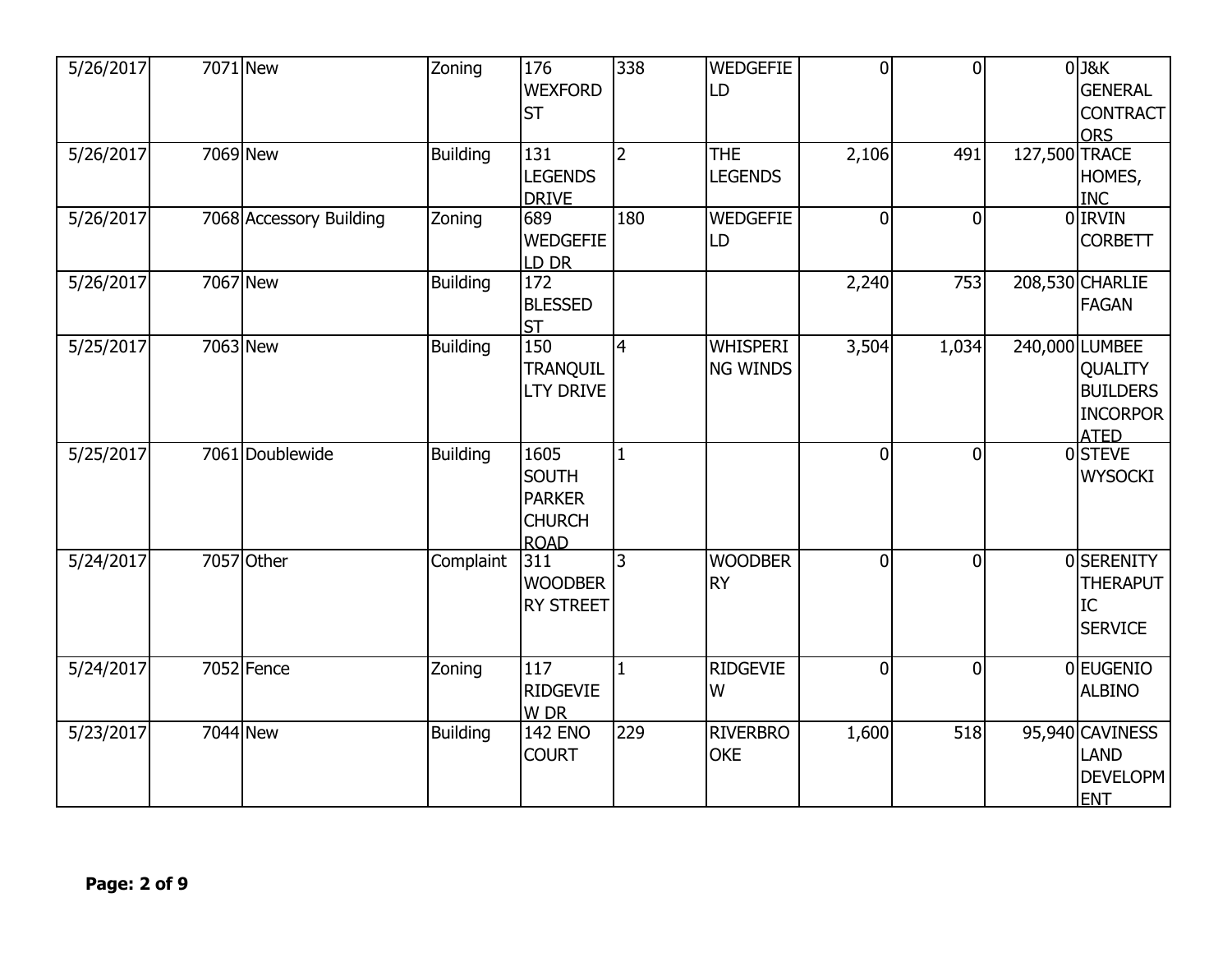| 5/26/2017 | 7071 New                | Zoning          | 176<br><b>WEXFORD</b><br><b>ST</b>                                    | 338            | <b>WEDGEFIE</b><br>LD              | $\overline{0}$ | $\overline{0}$ |               | $0$ J&K<br><b>GENERAL</b><br><b>CONTRACT</b><br><b>ORS</b>                            |
|-----------|-------------------------|-----------------|-----------------------------------------------------------------------|----------------|------------------------------------|----------------|----------------|---------------|---------------------------------------------------------------------------------------|
| 5/26/2017 | 7069 New                | <b>Building</b> | 131<br><b>LEGENDS</b><br><b>DRIVE</b>                                 | $\overline{2}$ | <b>THE</b><br><b>LEGENDS</b>       | 2,106          | 491            | 127,500 TRACE | HOMES,<br><b>INC</b>                                                                  |
| 5/26/2017 | 7068 Accessory Building | Zoning          | 689<br><b>WEDGEFIE</b><br>LD DR                                       | 180            | <b>WEDGEFIE</b><br>LD              | $\Omega$       | $\overline{0}$ |               | 0 IRVIN<br><b>CORBETT</b>                                                             |
| 5/26/2017 | 7067 New                | Building        | $\overline{172}$<br><b>BLESSED</b><br><b>ST</b>                       |                |                                    | 2,240          | 753            |               | 208,530 CHARLIE<br><b>FAGAN</b>                                                       |
| 5/25/2017 | 7063 New                | <b>Building</b> | 150<br>TRANQUIL<br><b>LTY DRIVE</b>                                   | $\overline{4}$ | <b>WHISPERI</b><br><b>NG WINDS</b> | 3,504          | 1,034          |               | 240,000 LUMBEE<br><b>QUALITY</b><br><b>BUILDERS</b><br><b>INCORPOR</b><br><b>ATED</b> |
| 5/25/2017 | 7061 Doublewide         | <b>Building</b> | 1605<br><b>SOUTH</b><br><b>PARKER</b><br><b>CHURCH</b><br><b>ROAD</b> | $\mathbf{1}$   |                                    | $\overline{0}$ | $\overline{0}$ |               | 0STEVE<br><b>WYSOCKI</b>                                                              |
| 5/24/2017 | 7057 Other              | Complaint       | 311<br><b>WOODBER</b><br><b>RY STREET</b>                             | $\overline{3}$ | <b>WOODBER</b><br><b>RY</b>        | $\overline{0}$ | $\overline{0}$ |               | 0SERENITY<br><b>THERAPUT</b><br>IC<br><b>SERVICE</b>                                  |
| 5/24/2017 | $\overline{7052}$ Fence | Zoning          | 117<br><b>RIDGEVIE</b><br>W DR                                        | $\overline{1}$ | <b>RIDGEVIE</b><br>W               | $\overline{0}$ | $\mathbf 0$    |               | 0 EUGENIO<br><b>ALBINO</b>                                                            |
| 5/23/2017 | 7044 New                | <b>Building</b> | <b>142 ENO</b><br><b>COURT</b>                                        | 229            | <b>RIVERBRO</b><br><b>OKE</b>      | 1,600          | 518            |               | 95,940 CAVINESS<br><b>LAND</b><br><b>DEVELOPM</b><br><b>ENT</b>                       |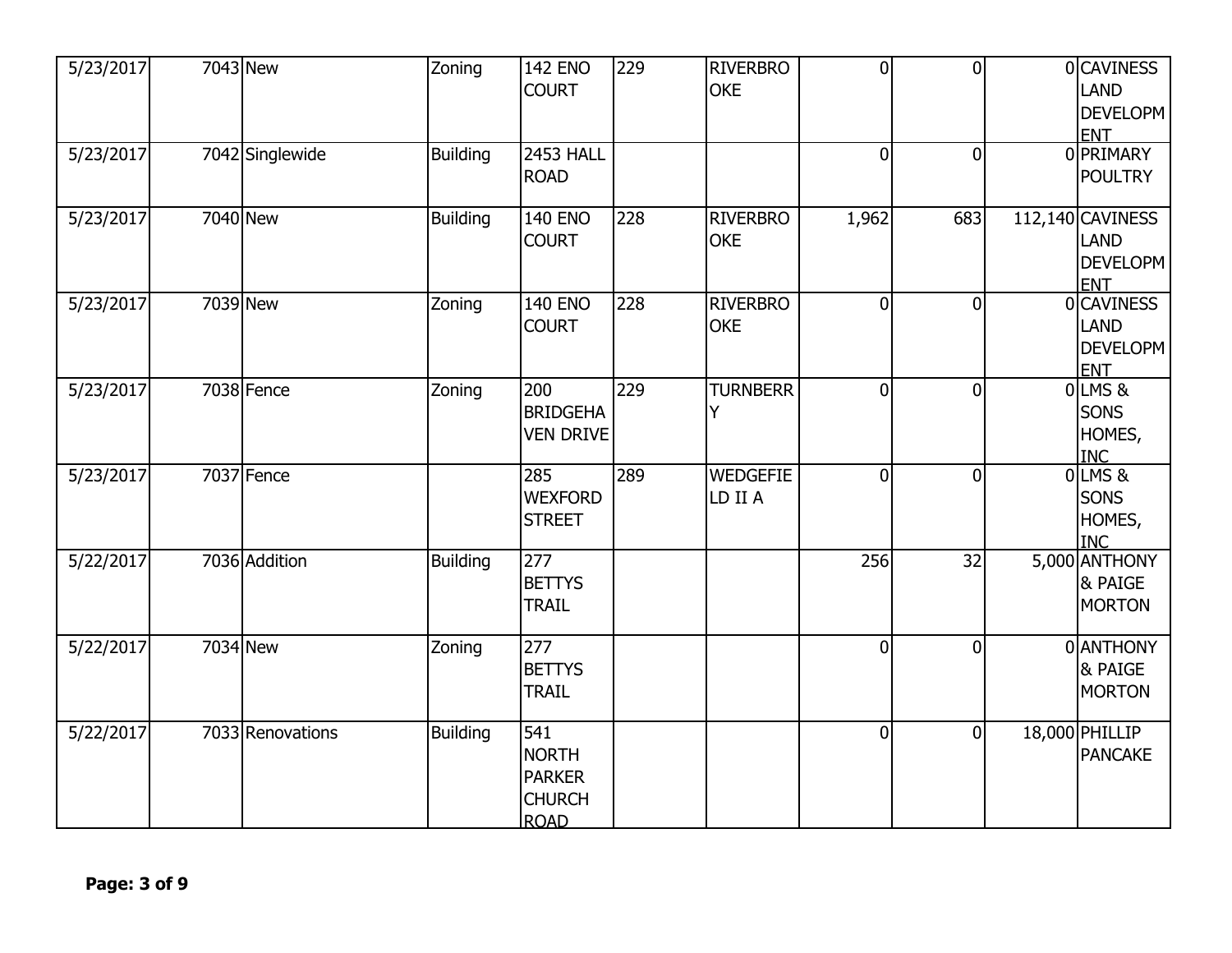| 5/23/2017 | 7043 New         | Zoning          | <b>142 ENO</b><br><b>COURT</b>                                       | 229 | <b>RIVERBRO</b><br><b>OKE</b> | $\overline{0}$ | $\overline{0}$ | 0 CAVINESS<br><b>LAND</b><br><b>DEVELOPM</b><br><b>ENT</b>       |
|-----------|------------------|-----------------|----------------------------------------------------------------------|-----|-------------------------------|----------------|----------------|------------------------------------------------------------------|
| 5/23/2017 | 7042 Singlewide  | <b>Building</b> | <b>2453 HALL</b><br><b>ROAD</b>                                      |     |                               | $\overline{0}$ | $\overline{0}$ | 0 PRIMARY<br><b>POULTRY</b>                                      |
| 5/23/2017 | 7040 New         | <b>Building</b> | <b>140 ENO</b><br><b>COURT</b>                                       | 228 | <b>RIVERBRO</b><br><b>OKE</b> | 1,962          | 683            | 112,140 CAVINESS<br><b>LAND</b><br><b>DEVELOPM</b><br><b>ENT</b> |
| 5/23/2017 | 7039 New         | Zoning          | <b>140 ENO</b><br><b>COURT</b>                                       | 228 | <b>RIVERBRO</b><br><b>OKE</b> | $\overline{0}$ | $\mathbf 0$    | 0 CAVINESS<br><b>LAND</b><br><b>DEVELOPM</b><br><b>ENT</b>       |
| 5/23/2017 | 7038 Fence       | Zoning          | 200<br><b>BRIDGEHA</b><br><b>VEN DRIVE</b>                           | 229 | <b>TURNBERR</b><br>Y          | $\overline{0}$ | $\mathbf 0$    | 0 LMS &<br>SONS<br>HOMES,<br><b>INC</b>                          |
| 5/23/2017 | 7037 Fence       |                 | 285<br><b>WEXFORD</b><br><b>STREET</b>                               | 289 | <b>WEDGEFIE</b><br>LD II A    | $\overline{0}$ | $\overline{0}$ | OLMS&<br>SONS<br>HOMES,<br><b>INC</b>                            |
| 5/22/2017 | 7036 Addition    | <b>Building</b> | 277<br><b>BETTYS</b><br><b>TRAIL</b>                                 |     |                               | 256            | 32             | 5,000 ANTHONY<br><b>&amp; PAIGE</b><br><b>MORTON</b>             |
| 5/22/2017 | 7034 New         | Zoning          | 277<br><b>BETTYS</b><br><b>TRAIL</b>                                 |     |                               | $\overline{0}$ | $\Omega$       | 0 ANTHONY<br>& PAIGE<br><b>MORTON</b>                            |
| 5/22/2017 | 7033 Renovations | <b>Building</b> | 541<br><b>NORTH</b><br><b>PARKER</b><br><b>CHURCH</b><br><b>ROAD</b> |     |                               | $\mathbf 0$    | $\overline{0}$ | 18,000 PHILLIP<br><b>PANCAKE</b>                                 |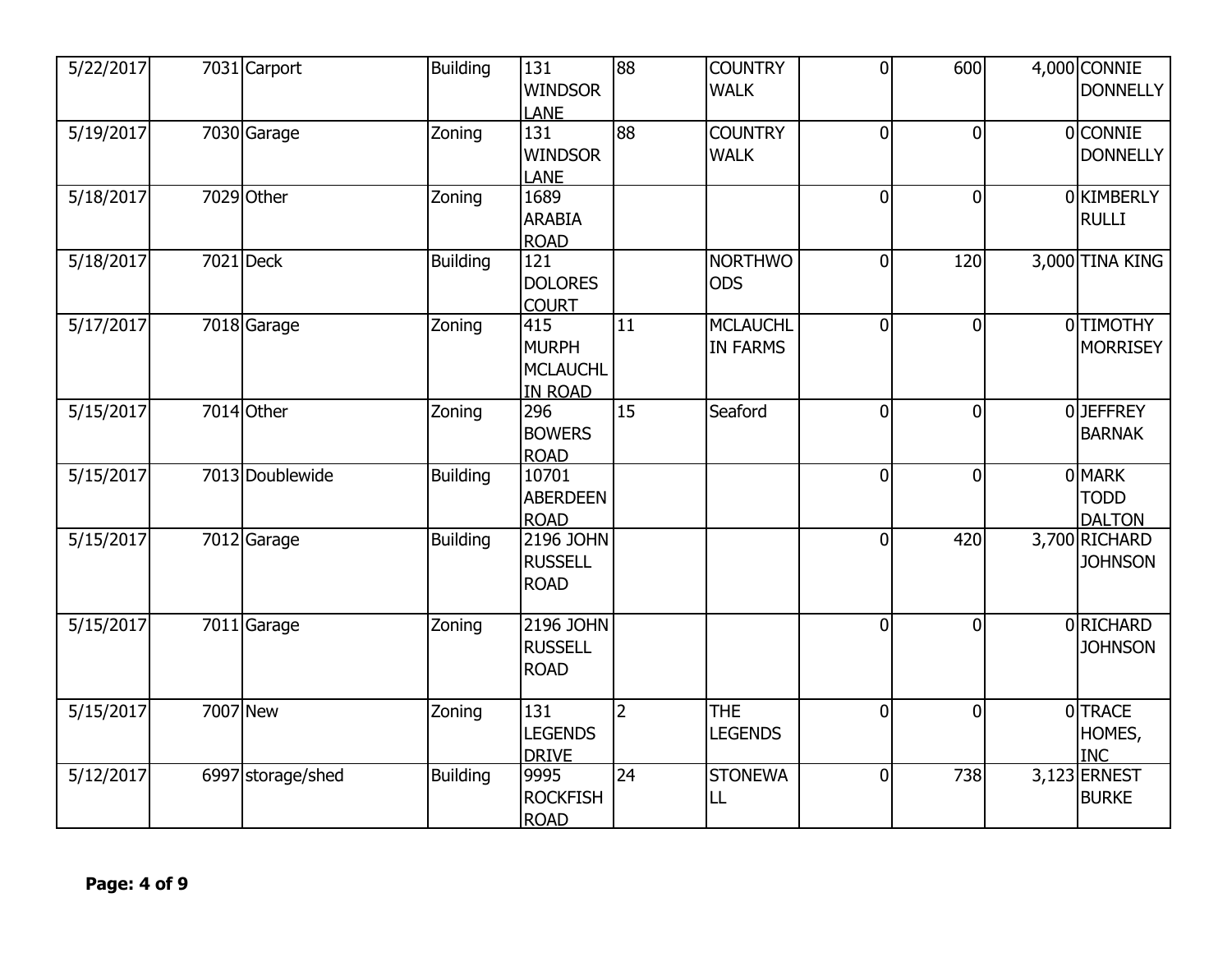| 5/22/2017 | 7031 Carport      | <b>Building</b> | 131<br><b>WINDSOR</b><br><b>LANE</b>                     | $\overline{88}$ | <b>COUNTRY</b><br><b>WALK</b>      | $\overline{0}$ | 600            |          | 4,000 CONNIE<br><b>DONNELLY</b>        |
|-----------|-------------------|-----------------|----------------------------------------------------------|-----------------|------------------------------------|----------------|----------------|----------|----------------------------------------|
| 5/19/2017 | 7030 Garage       | Zoning          | 131<br><b>WINDSOR</b><br><b>LANE</b>                     | 88              | <b>COUNTRY</b><br><b>WALK</b>      | $\overline{0}$ | $\overline{0}$ |          | 0 CONNIE<br><b>DONNELLY</b>            |
| 5/18/2017 | 7029 Other        | Zoning          | 1689<br><b>ARABIA</b><br><b>ROAD</b>                     |                 |                                    | $\overline{0}$ | $\overline{0}$ |          | 0 KIMBERLY<br><b>RULLI</b>             |
| 5/18/2017 | 7021 Deck         | <b>Building</b> | $\overline{121}$<br><b>DOLORES</b><br><b>COURT</b>       |                 | <b>NORTHWO</b><br><b>ODS</b>       | $\overline{0}$ | 120            |          | 3,000 TINA KING                        |
| 5/17/2017 | 7018 Garage       | Zoning          | 415<br><b>MURPH</b><br><b>MCLAUCHL</b><br><b>IN ROAD</b> | 11              | <b>MCLAUCHL</b><br><b>IN FARMS</b> | $\overline{0}$ | $\overline{0}$ |          | 0 TIMOTHY<br><b>MORRISEY</b>           |
| 5/15/2017 | 7014 Other        | Zoning          | 296<br><b>BOWERS</b><br><b>ROAD</b>                      | 15              | Seaford                            | $\overline{0}$ | $\overline{0}$ | $\Omega$ | <b>JEFFREY</b><br><b>BARNAK</b>        |
| 5/15/2017 | 7013 Doublewide   | <b>Building</b> | 10701<br><b>ABERDEEN</b><br><b>ROAD</b>                  |                 |                                    | $\overline{0}$ | $\overline{0}$ |          | 0 MARK<br><b>TODD</b><br><b>DALTON</b> |
| 5/15/2017 | 7012 Garage       | Building        | 2196 JOHN<br><b>RUSSELL</b><br><b>ROAD</b>               |                 |                                    | $\overline{0}$ | 420            |          | 3,700 RICHARD<br><b>JOHNSON</b>        |
| 5/15/2017 | 7011 Garage       | Zoning          | 2196 JOHN<br><b>RUSSELL</b><br><b>ROAD</b>               |                 |                                    | $\mathbf{0}$   | $\overline{0}$ |          | 0RICHARD<br><b>JOHNSON</b>             |
| 5/15/2017 | 7007 New          | Zoning          | 131<br><b>LEGENDS</b><br><b>DRIVE</b>                    | $\overline{2}$  | <b>THE</b><br><b>LEGENDS</b>       | $\overline{0}$ | $\overline{0}$ | ΩI       | <b>TRACE</b><br>HOMES,<br><b>INC</b>   |
| 5/12/2017 | 6997 storage/shed | Building        | 9995<br><b>ROCKFISH</b><br><b>ROAD</b>                   | 24              | <b>STONEWA</b><br>LL               | $\overline{0}$ | 738            |          | 3,123 ERNEST<br><b>BURKE</b>           |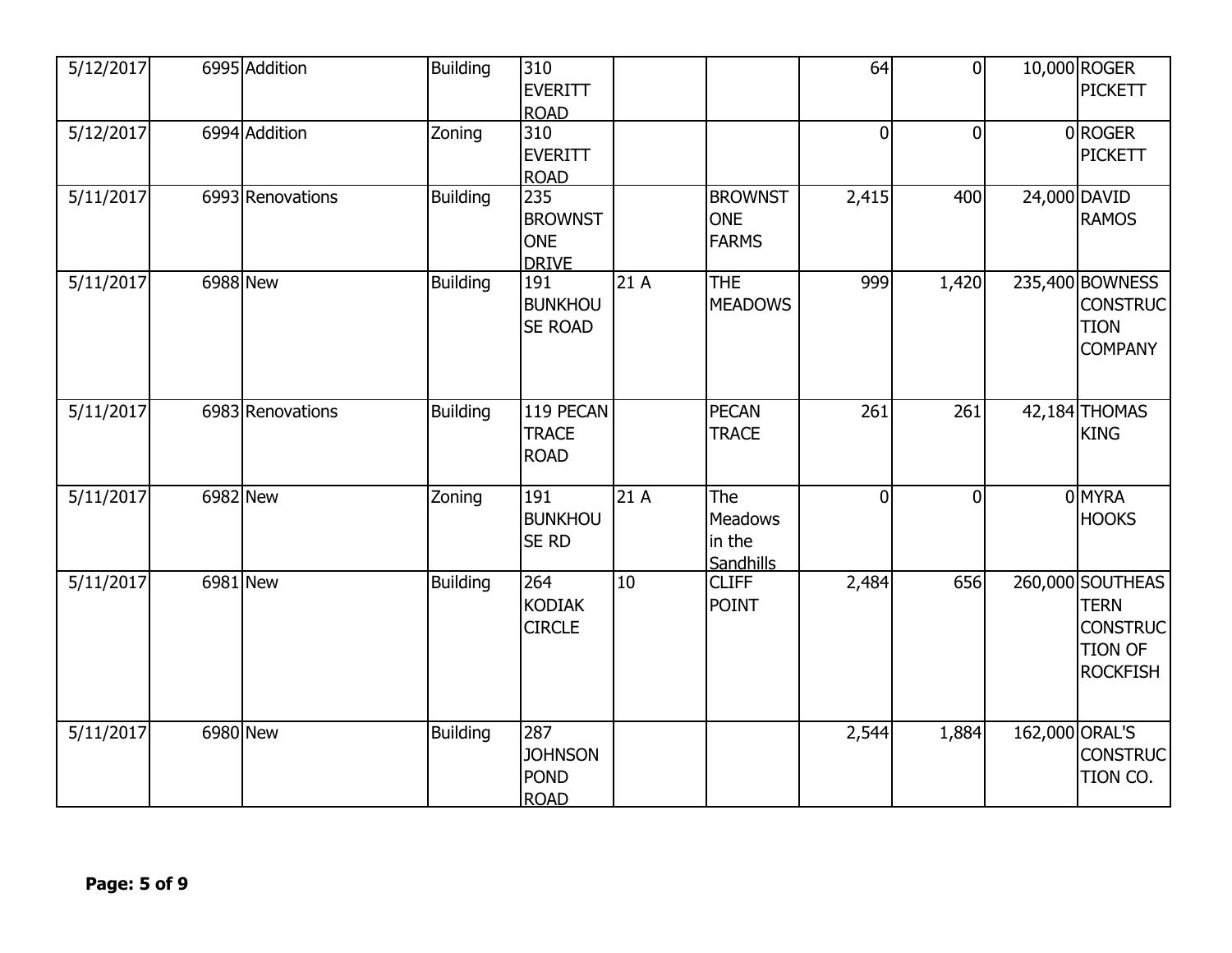| 5/12/2017            |          | 6995 Addition    | Building        | 310<br>EVERITT<br><b>ROAD</b>                       |     |                                              | 64             | $\overline{0}$ |                | 10,000 ROGER<br>PICKETT                                                                 |
|----------------------|----------|------------------|-----------------|-----------------------------------------------------|-----|----------------------------------------------|----------------|----------------|----------------|-----------------------------------------------------------------------------------------|
| 5/12/2017            |          | 6994 Addition    | Zoning          | $\overline{310}$<br><b>EVERITT</b><br><b>ROAD</b>   |     |                                              | $\overline{0}$ | 0              |                | 0ROGER<br><b>PICKETT</b>                                                                |
| $\frac{5}{11}{2017}$ |          | 6993 Renovations | <b>Building</b> | 235<br><b>BROWNST</b><br><b>ONE</b><br><b>DRIVE</b> |     | <b>BROWNST</b><br><b>ONE</b><br><b>FARMS</b> | 2,415          | 400            |                | 24,000 DAVID<br><b>RAMOS</b>                                                            |
| 5/11/2017            | 6988 New |                  | <b>Building</b> | 191<br><b>BUNKHOU</b><br><b>SE ROAD</b>             | 21A | <b>THE</b><br><b>MEADOWS</b>                 | 999            | 1,420          |                | 235,400 BOWNESS<br><b>CONSTRUC</b><br><b>TION</b><br><b>COMPANY</b>                     |
| 5/11/2017            |          | 6983 Renovations | <b>Building</b> | 119 PECAN<br><b>TRACE</b><br><b>ROAD</b>            |     | <b>PECAN</b><br><b>TRACE</b>                 | 261            | 261            |                | 42,184 THOMAS<br><b>KING</b>                                                            |
| 5/11/2017            | 6982 New |                  | Zoning          | 191<br><b>BUNKHOU</b><br><b>SE RD</b>               | 21A | The<br>Meadows<br>in the<br>Sandhills        | $\overline{0}$ | $\overline{0}$ |                | 0 MYRA<br><b>HOOKS</b>                                                                  |
| 5/11/2017            | 6981 New |                  | <b>Building</b> | 264<br><b>KODIAK</b><br><b>CIRCLE</b>               | 10  | <b>CLIFF</b><br><b>POINT</b>                 | 2,484          | 656            |                | 260,000 SOUTHEAS<br><b>TERN</b><br><b>CONSTRUC</b><br><b>TION OF</b><br><b>ROCKFISH</b> |
| 5/11/2017            | 6980 New |                  | <b>Building</b> | 287<br><b>JOHNSON</b><br><b>POND</b><br><b>ROAD</b> |     |                                              | 2,544          | 1,884          | 162,000 ORAL'S | <b>CONSTRUC</b><br>TION CO.                                                             |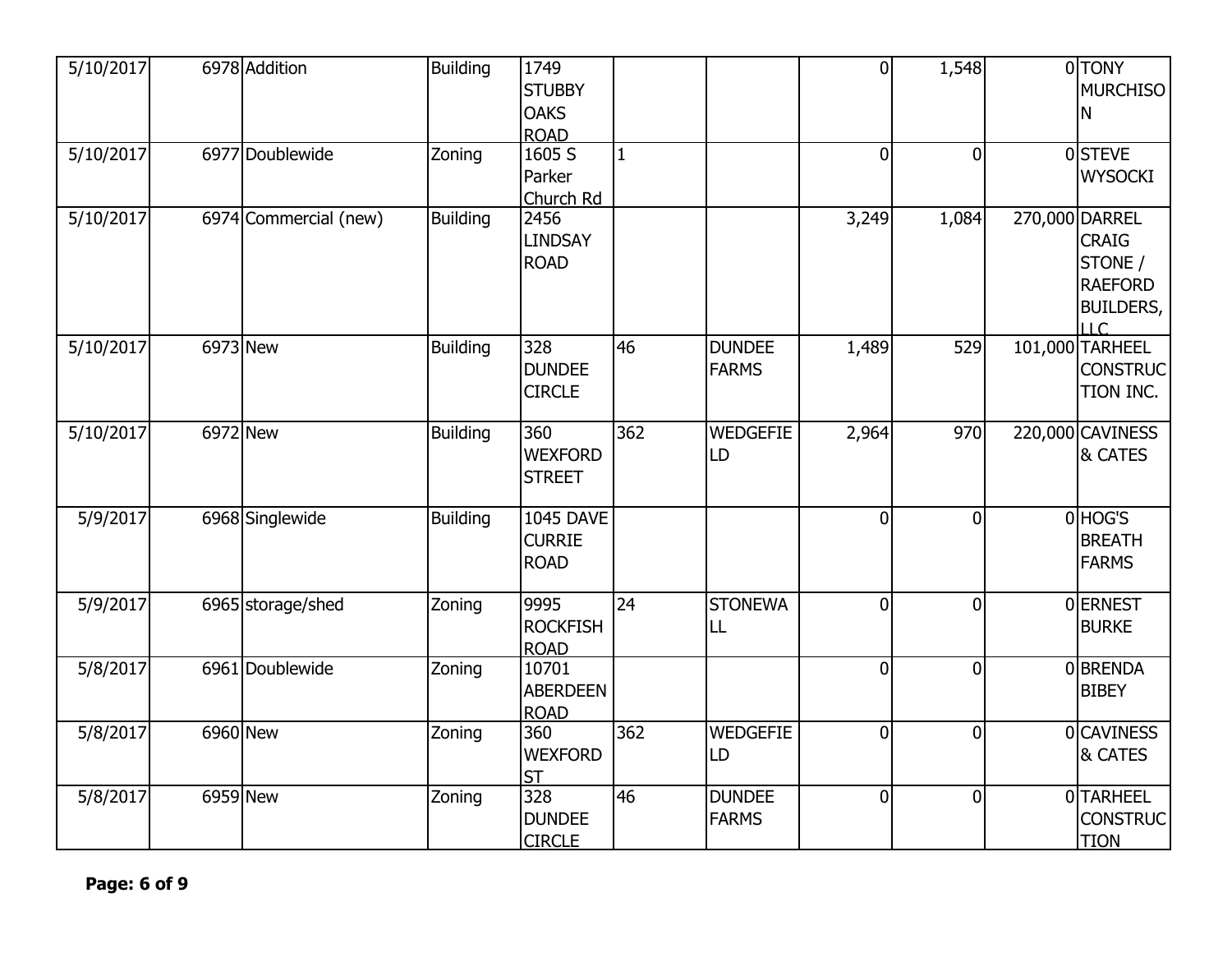| 5/10/2017 | 6978 Addition         | <b>Building</b> | 1749             |              |                 | $\overline{0}$ | 1,548          | 0 TONY           |
|-----------|-----------------------|-----------------|------------------|--------------|-----------------|----------------|----------------|------------------|
|           |                       |                 | <b>STUBBY</b>    |              |                 |                |                | <b>MURCHISO</b>  |
|           |                       |                 | <b>OAKS</b>      |              |                 |                |                | Ν                |
|           |                       |                 | <b>ROAD</b>      |              |                 |                |                |                  |
| 5/10/2017 | 6977 Doublewide       | Zoning          | 1605S            | $\mathbf{1}$ |                 | $\overline{0}$ | $\overline{0}$ | 0STEVE           |
|           |                       |                 | Parker           |              |                 |                |                | <b>WYSOCKI</b>   |
|           |                       |                 | Church Rd        |              |                 |                |                |                  |
| 5/10/2017 | 6974 Commercial (new) | <b>Building</b> | 2456             |              |                 | 3,249          | 1,084          | 270,000 DARREL   |
|           |                       |                 | <b>LINDSAY</b>   |              |                 |                |                | <b>CRAIG</b>     |
|           |                       |                 | <b>ROAD</b>      |              |                 |                |                | STONE /          |
|           |                       |                 |                  |              |                 |                |                | <b>RAEFORD</b>   |
|           |                       |                 |                  |              |                 |                |                | <b>BUILDERS,</b> |
|           |                       |                 |                  |              |                 |                |                | LLC              |
| 5/10/2017 | 6973 New              | <b>Building</b> | 328              | 46           | <b>DUNDEE</b>   | 1,489          | 529            | 101,000 TARHEEL  |
|           |                       |                 | <b>DUNDEE</b>    |              | <b>FARMS</b>    |                |                | <b>CONSTRUC</b>  |
|           |                       |                 | <b>CIRCLE</b>    |              |                 |                |                | TION INC.        |
|           |                       |                 |                  |              |                 |                |                |                  |
| 5/10/2017 | 6972 New              | <b>Building</b> | 360              | 362          | <b>WEDGEFIE</b> | 2,964          | 970            | 220,000 CAVINESS |
|           |                       |                 | <b>WEXFORD</b>   |              | LD              |                |                | & CATES          |
|           |                       |                 | <b>STREET</b>    |              |                 |                |                |                  |
|           |                       |                 |                  |              |                 |                |                |                  |
| 5/9/2017  | 6968 Singlewide       | <b>Building</b> | <b>1045 DAVE</b> |              |                 | $\overline{0}$ | $\overline{0}$ | 0 HOG'S          |
|           |                       |                 | <b>CURRIE</b>    |              |                 |                |                | <b>BREATH</b>    |
|           |                       |                 | <b>ROAD</b>      |              |                 |                |                | <b>FARMS</b>     |
|           |                       |                 |                  |              |                 |                |                |                  |
| 5/9/2017  | 6965 storage/shed     | Zoning          | 9995             | 24           | <b>STONEWA</b>  | $\overline{0}$ | $\overline{0}$ | 0 ERNEST         |
|           |                       |                 | <b>ROCKFISH</b>  |              | LL              |                |                | <b>BURKE</b>     |
|           |                       |                 | <b>ROAD</b>      |              |                 |                |                |                  |
| 5/8/2017  | 6961 Doublewide       | Zoning          | 10701            |              |                 | $\overline{0}$ | $\overline{0}$ | 0BRENDA          |
|           |                       |                 | <b>ABERDEEN</b>  |              |                 |                |                | <b>BIBEY</b>     |
|           |                       |                 | <b>ROAD</b>      |              |                 |                |                |                  |
| 5/8/2017  | 6960 New              | Zoning          | 360              | 362          | <b>WEDGEFIE</b> | $\overline{0}$ | $\overline{0}$ | 0 CAVINESS       |
|           |                       |                 | <b>WEXFORD</b>   |              | LD              |                |                | & CATES          |
|           |                       |                 | <b>ST</b>        |              |                 |                |                |                  |
| 5/8/2017  | 6959 New              | Zoning          | 328              | 46           | <b>DUNDEE</b>   | $\mathbf 0$    | $\overline{0}$ | 0 TARHEEL        |
|           |                       |                 | <b>DUNDEE</b>    |              | <b>FARMS</b>    |                |                | <b>CONSTRUC</b>  |
|           |                       |                 | <b>CIRCLE</b>    |              |                 |                |                | <b>TION</b>      |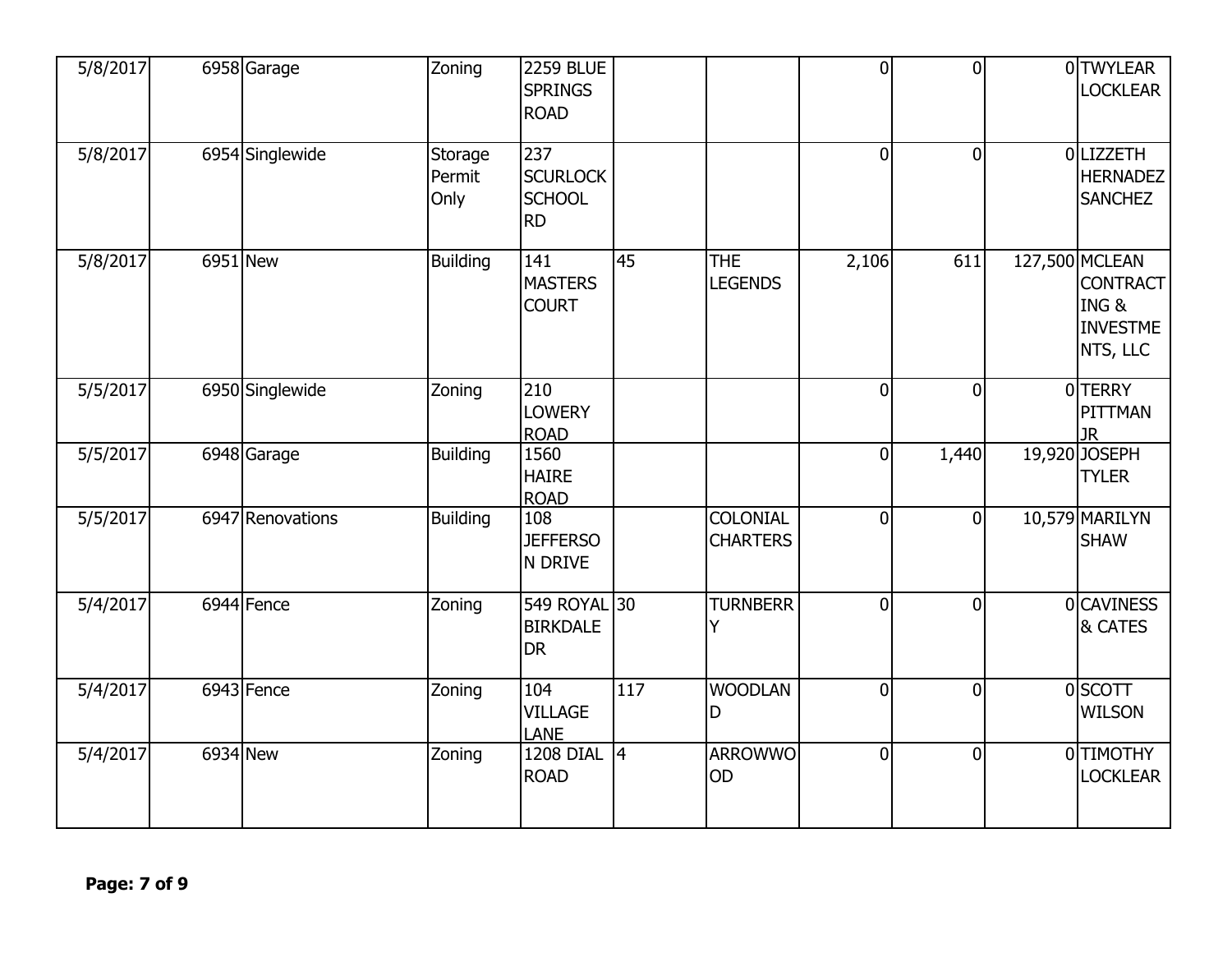| 5/8/2017 | 6958 Garage      | Zoning                    | <b>2259 BLUE</b><br><b>SPRINGS</b><br><b>ROAD</b>    |                 |                                    | $\overline{0}$ | $\overline{0}$ | 0 TWYLEAR<br><b>LOCKLEAR</b>                                             |
|----------|------------------|---------------------------|------------------------------------------------------|-----------------|------------------------------------|----------------|----------------|--------------------------------------------------------------------------|
| 5/8/2017 | 6954 Singlewide  | Storage<br>Permit<br>Only | 237<br><b>SCURLOCK</b><br><b>SCHOOL</b><br><b>RD</b> |                 |                                    | $\overline{0}$ | $\overline{0}$ | 0 LIZZETH<br><b>HERNADEZ</b><br><b>SANCHEZ</b>                           |
| 5/8/2017 | 6951 New         | <b>Building</b>           | 141<br><b>MASTERS</b><br><b>COURT</b>                | 45              | <b>THE</b><br><b>LEGENDS</b>       | 2,106          | 611            | 127,500 MCLEAN<br><b>CONTRACT</b><br>ING&<br><b>INVESTME</b><br>NTS, LLC |
| 5/5/2017 | 6950 Singlewide  | Zoning                    | 210<br><b>LOWERY</b><br><b>ROAD</b>                  |                 |                                    | $\overline{0}$ | $\mathbf 0$    | 0TERRY<br>PITTMAN<br><b>JR</b>                                           |
| 5/5/2017 | 6948 Garage      | <b>Building</b>           | 1560<br><b>HAIRE</b><br><b>ROAD</b>                  |                 |                                    | $\overline{0}$ | 1,440          | 19,920 JOSEPH<br><b>TYLER</b>                                            |
| 5/5/2017 | 6947 Renovations | <b>Building</b>           | 108<br><b>JEFFERSO</b><br>N DRIVE                    |                 | <b>COLONIAL</b><br><b>CHARTERS</b> | $\overline{0}$ | $\overline{0}$ | 10,579 MARILYN<br><b>SHAW</b>                                            |
| 5/4/2017 | 6944 Fence       | Zoning                    | 549 ROYAL 30<br><b>BIRKDALE</b><br><b>DR</b>         |                 | <b>TURNBERR</b><br>Y               | $\overline{0}$ | $\overline{0}$ | 0 CAVINESS<br>& CATES                                                    |
| 5/4/2017 | $6943$ Fence     | Zoning                    | 104<br><b>VILLAGE</b><br><b>LANE</b>                 | 117             | <b>WOODLAN</b><br>D                | $\overline{0}$ | 0              | 0 SCOTT<br><b>WILSON</b>                                                 |
| 5/4/2017 | 6934 New         | Zoning                    | <b>1208 DIAL</b><br><b>ROAD</b>                      | $\vert 4 \vert$ | <b>ARROWWO</b><br>OD               | $\overline{0}$ | $\overline{0}$ | 0 TIMOTHY<br><b>LOCKLEAR</b>                                             |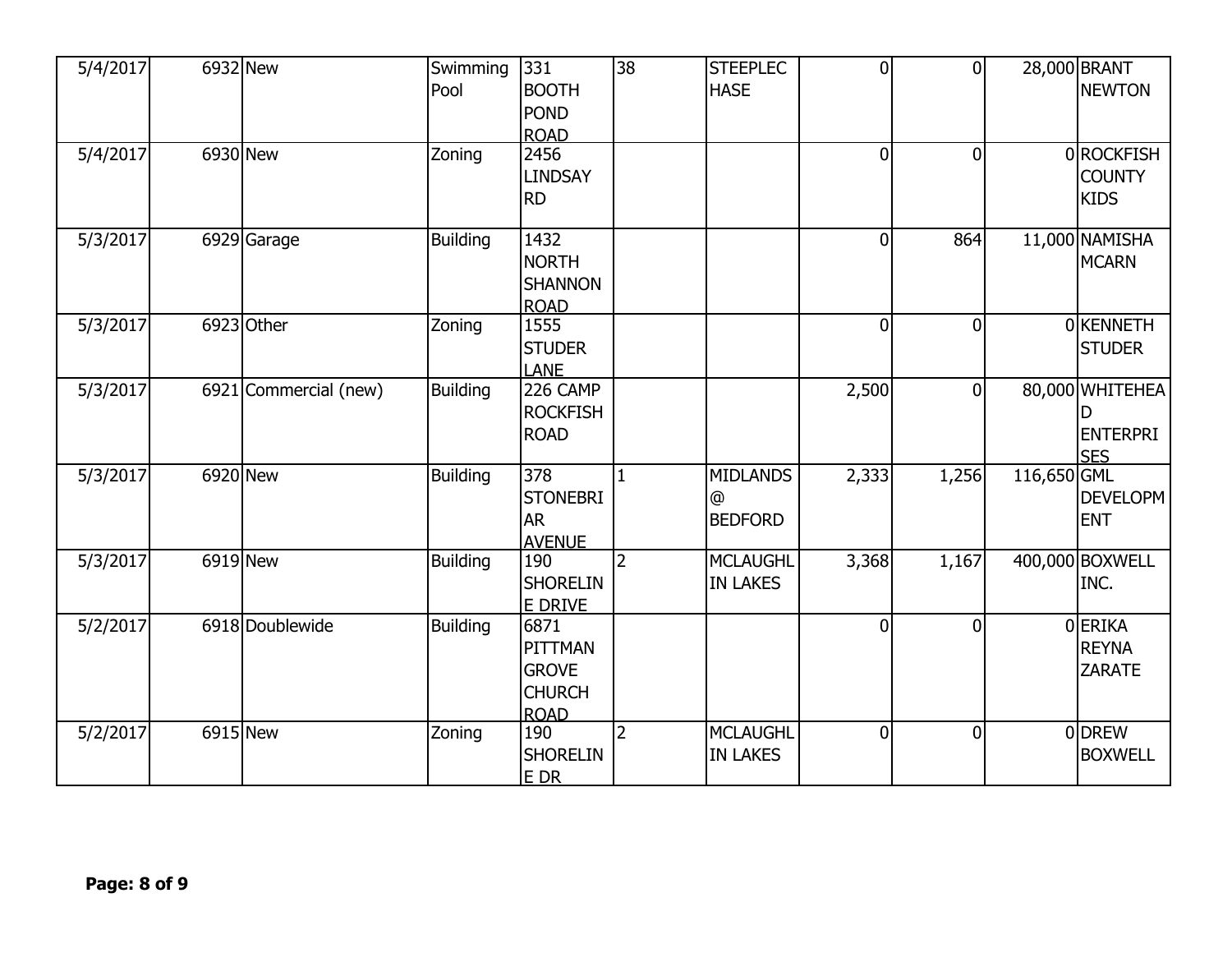| 5/4/2017           | 6932 New              | Swimming<br>Pool | 331<br><b>BOOTH</b><br><b>POND</b><br><b>ROAD</b>               | $\overline{38}$ | <b>STEEPLEC</b><br><b>HASE</b>         | $\overline{0}$ | $\overline{0}$ |             | 28,000 BRANT<br><b>NEWTON</b>                         |
|--------------------|-----------------------|------------------|-----------------------------------------------------------------|-----------------|----------------------------------------|----------------|----------------|-------------|-------------------------------------------------------|
| $\frac{5}{4}/2017$ | 6930 New              | Zoning           | 2456<br><b>LINDSAY</b><br><b>RD</b>                             |                 |                                        | $\overline{0}$ | $\overline{0}$ |             | 0 ROCKFISH<br><b>COUNTY</b><br><b>KIDS</b>            |
| 5/3/2017           | 6929 Garage           | <b>Building</b>  | 1432<br><b>NORTH</b><br><b>SHANNON</b><br><b>ROAD</b>           |                 |                                        | $\overline{0}$ | 864            |             | 11,000 NAMISHA<br><b>MCARN</b>                        |
| 5/3/2017           | 6923 Other            | Zoning           | 1555<br><b>STUDER</b><br><b>LANE</b>                            |                 |                                        | $\overline{0}$ | $\overline{0}$ |             | 0 KENNETH<br><b>STUDER</b>                            |
| 5/3/2017           | 6921 Commercial (new) | <b>Building</b>  | 226 CAMP<br><b>ROCKFISH</b><br><b>ROAD</b>                      |                 |                                        | 2,500          | $\overline{0}$ |             | 80,000 WHITEHEA<br>D<br><b>ENTERPRI</b><br><b>SES</b> |
| 5/3/2017           | 6920 New              | <b>Building</b>  | 378<br><b>STONEBRI</b><br><b>AR</b><br><b>AVENUE</b>            | $\mathbf{1}$    | <b>MIDLANDS</b><br>@<br><b>BEDFORD</b> | 2,333          | 1,256          | 116,650 GML | <b>DEVELOPM</b><br><b>ENT</b>                         |
| 5/3/2017           | $\overline{6919}$ New | <b>Building</b>  | 190<br><b>SHORELIN</b><br>E DRIVE                               | $\overline{2}$  | <b>MCLAUGHL</b><br><b>IN LAKES</b>     | 3,368          | 1,167          |             | 400,000 BOXWELL<br>INC.                               |
| 5/2/2017           | 6918 Doublewide       | <b>Building</b>  | 6871<br>PITTMAN<br><b>GROVE</b><br><b>CHURCH</b><br><b>ROAD</b> |                 |                                        | $\mathbf{0}$   | $\overline{0}$ |             | 0ERIKA<br><b>REYNA</b><br><b>ZARATE</b>               |
| 5/2/2017           | 6915 New              | Zoning           | 190<br><b>SHORELIN</b><br><b>EDR</b>                            | 2               | <b>MCLAUGHL</b><br><b>IN LAKES</b>     | 0              | $\overline{0}$ |             | 0DREW<br><b>BOXWELL</b>                               |